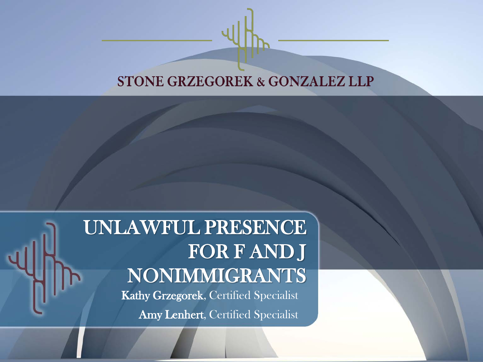#### **STONE GRZEGOREK & GONZALEZ LLP**

#### UNLAWFUL PRESENCE FOR F AND J NONIMMIGRANTS

Kathy Grzegorek, Certified Specialist Amy Lenhert, Certified Specialist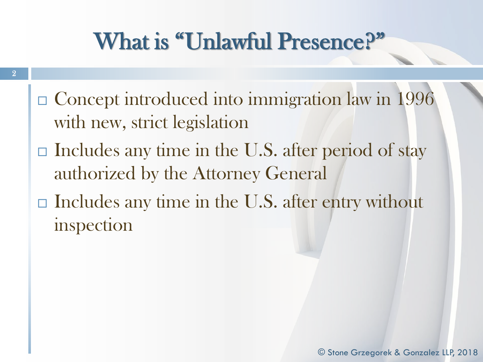# What is "Unlawful Presence?"

- □ Concept introduced into immigration law in 1996 with new, strict legislation
- $\Box$  Includes any time in the U.S. after period of stay authorized by the Attorney General
- $\Box$  Includes any time in the U.S. after entry without inspection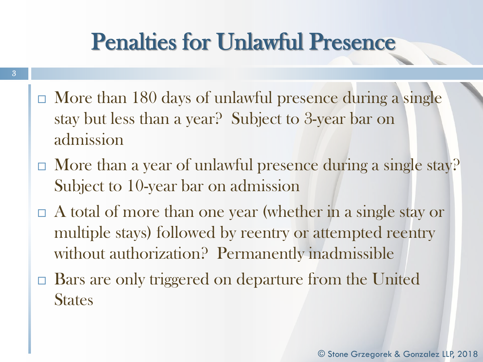# Penalties for Unlawful Presence

- $\Box$  More than 180 days of unlawful presence during a single stay but less than a year? Subject to 3-year bar on admission
- $\Box$  More than a year of unlawful presence during a single stay? Subject to 10-year bar on admission
- $\Box$  A total of more than one year (whether in a single stay or multiple stays) followed by reentry or attempted reentry without authorization? Permanently inadmissible
- □ Bars are only triggered on departure from the United **States**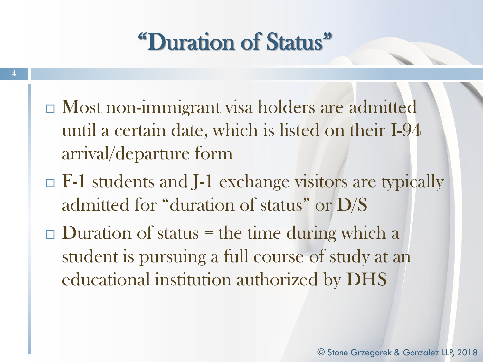### "Duration of Status"

- Most non-immigrant visa holders are admitted until a certain date, which is listed on their I-94 arrival/departure form
- $\Box$  F-1 students and J-1 exchange visitors are typically admitted for "duration of status" or D/S
- $\Box$  Duration of status = the time during which a student is pursuing a full course of study at an educational institution authorized by DHS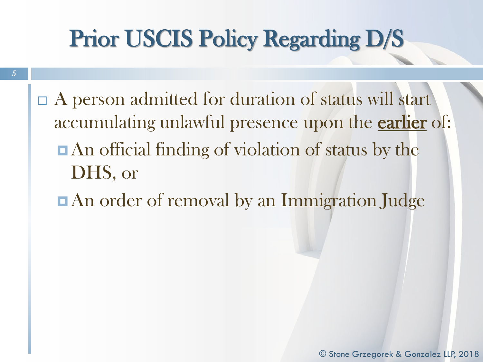# Prior USCIS Policy Regarding D/S

- $\Box$  A person admitted for duration of status will start accumulating unlawful presence upon the **earlier** of: **An** official finding of violation of status by the DHS, or
	- $\blacksquare$  **An order of removal by an Immigration Judge**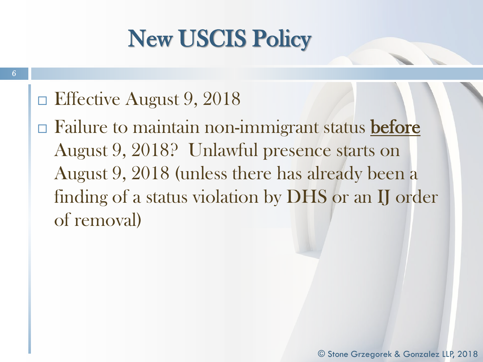$\Box$  Effective August 9, 2018

6

 $\Box$  Failure to maintain non-immigrant status before August 9, 2018? Unlawful presence starts on August 9, 2018 (unless there has already been a finding of a status violation by DHS or an IJ order of removal)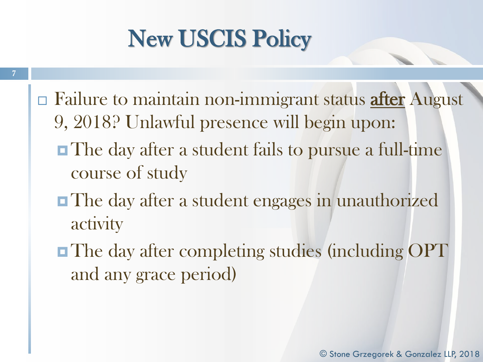- $\Box$  Failure to maintain non-immigrant status after August 9, 2018? Unlawful presence will begin upon:
	- **The day after a student fails to pursue a full-time** course of study
	- **The day after a student engages in unauthorized** activity
	- **The day after completing studies (including OPT)** and any grace period)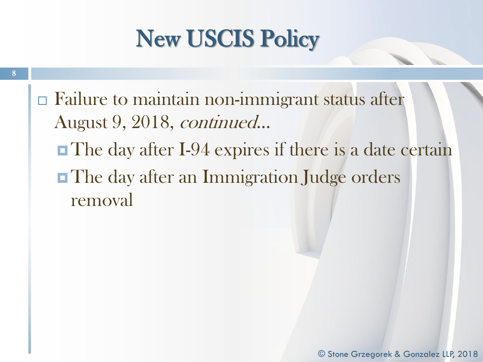$\Box$  Failure to maintain non-immigrant status after August 9, 2018, continued… The day after I-94 expires if there is a date certain

**The day after an Immigration Judge orders** removal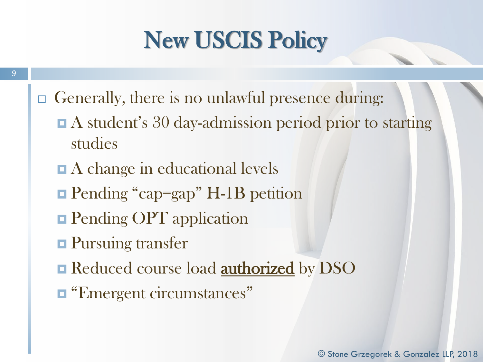- □ Generally, there is no unlawful presence during:
	- A student's 30 day-admission period prior to starting studies
	- A change in educational levels
	- **Pending "cap=gap" H-1B petition**
	- **Pending OPT application**
	- **Pursuing transfer**
	- Reduced course load **authorized** by DSO
	- **EXECUTE:** "Emergent circumstances"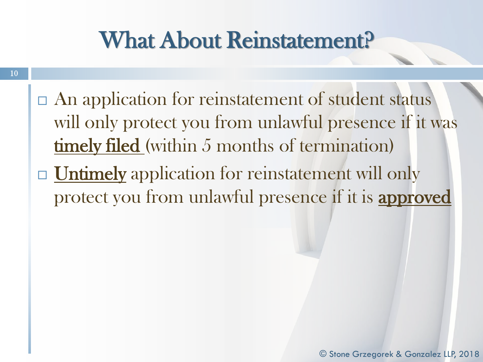## What About Reinstatement?

- $\Box$  An application for reinstatement of student status will only protect you from unlawful presence if it was timely filed (within 5 months of termination)
- □ Untimely application for reinstatement will only protect you from unlawful presence if it is approved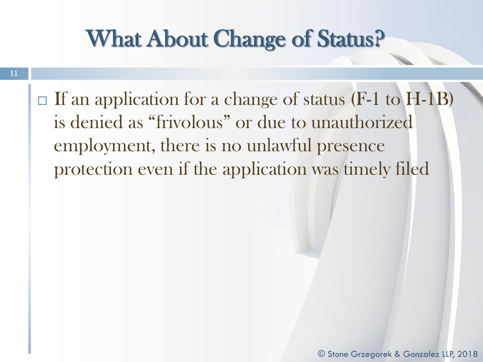### What About Change of Status?

- 11
- $\Box$  If an application for a change of status (F-1 to H-1B) is denied as "frivolous" or due to unauthorized employment, there is no unlawful presence protection even if the application was timely filed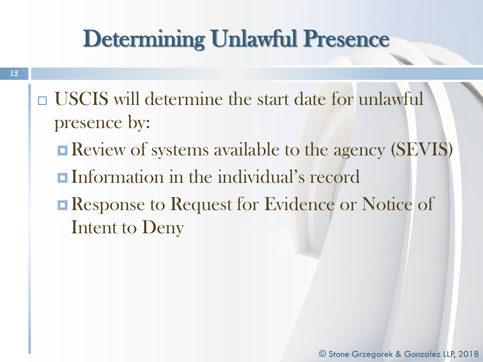### Determining Unlawful Presence

- USCIS will determine the start date for unlawful presence by:
	- **Review of systems available to the agency (SEVIS)**
	- Information in the individual's record
	- Response to Request for Evidence or Notice of Intent to Deny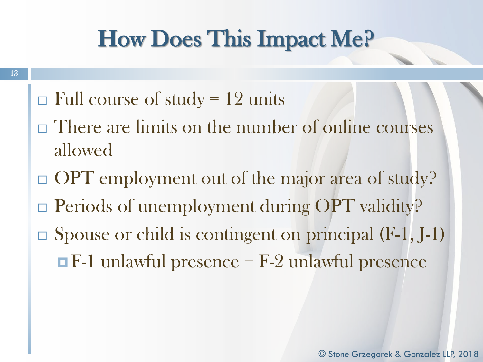# How Does This Impact Me?

- $\Box$  Full course of study = 12 units
- There are limits on the number of online courses allowed
- $\Box$  OPT employment out of the major area of study?
- **Periods of unemployment during OPT validity?**
- $\Box$  Spouse or child is contingent on principal (F-1, J-1)  $\blacksquare$  F-1 unlawful presence = F-2 unlawful presence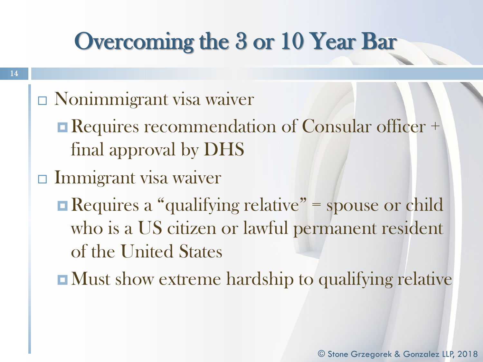## Overcoming the 3 or 10 Year Bar

- $\Box$  Nonimmigrant visa waiver
	- Requires recommendation of Consular officer + final approval by DHS
- $\Box$  Immigrant visa waiver
	- $\blacksquare$  Requires a "qualifying relative" = spouse or child who is a US citizen or lawful permanent resident of the United States
	- **Nust show extreme hardship to qualifying relative**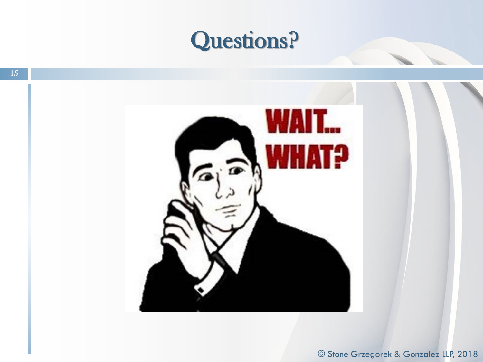#### Questions?